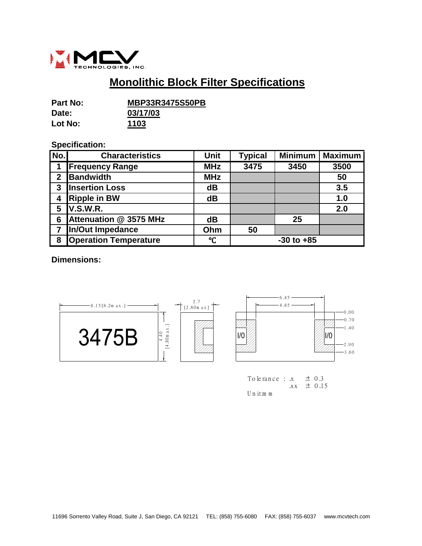

## **Monolithic Block Filter Specifications**

| <b>Part No:</b> | <b>MBP33R3475S50PB</b> |  |  |
|-----------------|------------------------|--|--|
| Date:           | 03/17/03               |  |  |
| Lot No:         | 1103                   |  |  |

## **Specification:**

| $\overline{\mathsf{No}}$ . | <b>Characteristics</b>        | <b>Unit</b> | <b>Typical</b> | <b>Minimum</b> | <b>Maximum</b> |
|----------------------------|-------------------------------|-------------|----------------|----------------|----------------|
|                            | <b>Frequency Range</b>        | <b>MHz</b>  | 3475           | 3450           | 3500           |
| $\mathbf 2$                | <b>Bandwidth</b>              | <b>MHz</b>  |                |                | 50             |
| 3                          | <b>Insertion Loss</b>         | dB          |                |                | 3.5            |
| 4                          | <b>Ripple in BW</b>           | dB          |                |                | 1.0            |
| 5                          | <b>V.S.W.R.</b>               |             |                |                | 2.0            |
| 6                          | <b>Attenuation @ 3575 MHz</b> | dB          |                | 25             |                |
|                            | <b>In/Out Impedance</b>       | Ohm         | 50             |                |                |
| 8                          | <b>Operation Temperature</b>  | °C          |                | $-30$ to $+85$ |                |

**Dimensions:**



To le rance : x<br>xx<br>U n it:m m